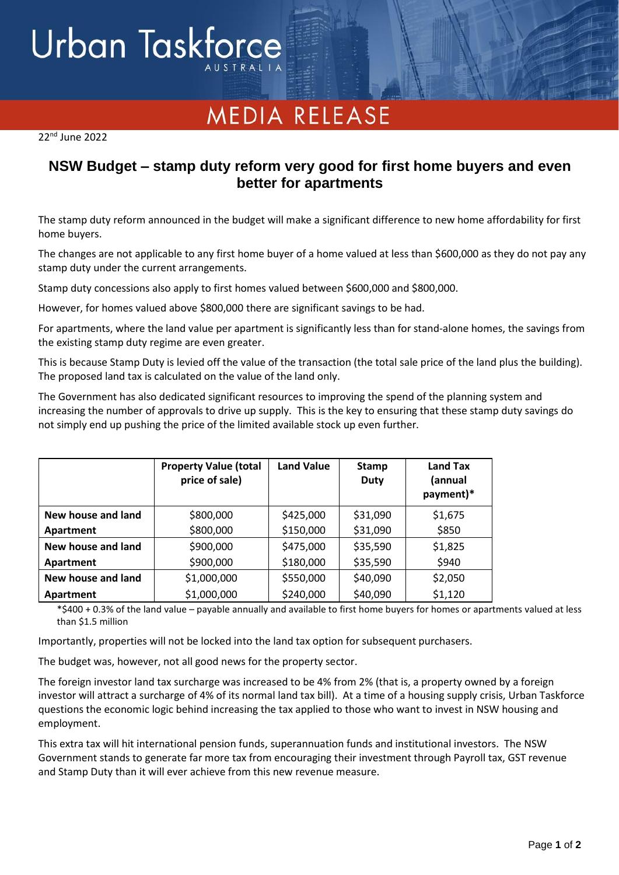## Urban Taskforce

## **MEDIA RELEASE**

22 nd June 2022

## **NSW Budget – stamp duty reform very good for first home buyers and even better for apartments**

The stamp duty reform announced in the budget will make a significant difference to new home affordability for first home buyers.

The changes are not applicable to any first home buyer of a home valued at less than \$600,000 as they do not pay any stamp duty under the current arrangements.

Stamp duty concessions also apply to first homes valued between \$600,000 and \$800,000.

However, for homes valued above \$800,000 there are significant savings to be had.

For apartments, where the land value per apartment is significantly less than for stand-alone homes, the savings from the existing stamp duty regime are even greater.

This is because Stamp Duty is levied off the value of the transaction (the total sale price of the land plus the building). The proposed land tax is calculated on the value of the land only.

The Government has also dedicated significant resources to improving the spend of the planning system and increasing the number of approvals to drive up supply. This is the key to ensuring that these stamp duty savings do not simply end up pushing the price of the limited available stock up even further.

|                    | <b>Property Value (total</b><br>price of sale) | <b>Land Value</b> | Stamp<br><b>Duty</b> | Land Tax<br>(annual<br>payment)* |
|--------------------|------------------------------------------------|-------------------|----------------------|----------------------------------|
| New house and land | \$800,000                                      | \$425,000         | \$31,090             | \$1,675                          |
| Apartment          | \$800,000                                      | \$150,000         | \$31,090             | \$850                            |
| New house and land | \$900,000                                      | \$475,000         | \$35,590             | \$1,825                          |
| Apartment          | \$900,000                                      | \$180,000         | \$35,590             | \$940                            |
| New house and land | \$1,000,000                                    | \$550,000         | \$40,090             | \$2,050                          |
| Apartment          | \$1,000,000                                    | \$240,000         | \$40,090             | \$1,120                          |

\*\$400 + 0.3% of the land value – payable annually and available to first home buyers for homes or apartments valued at less than \$1.5 million

Importantly, properties will not be locked into the land tax option for subsequent purchasers.

The budget was, however, not all good news for the property sector.

The foreign investor land tax surcharge was increased to be 4% from 2% (that is, a property owned by a foreign investor will attract a surcharge of 4% of its normal land tax bill). At a time of a housing supply crisis, Urban Taskforce questions the economic logic behind increasing the tax applied to those who want to invest in NSW housing and employment.

This extra tax will hit international pension funds, superannuation funds and institutional investors. The NSW Government stands to generate far more tax from encouraging their investment through Payroll tax, GST revenue and Stamp Duty than it will ever achieve from this new revenue measure.